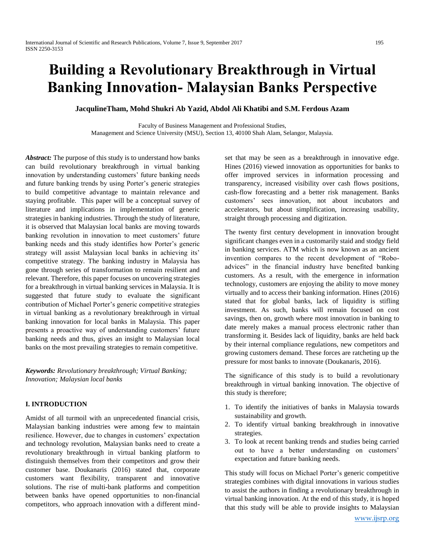# **Building a Revolutionary Breakthrough in Virtual Banking Innovation- Malaysian Banks Perspective**

**JacqulineTham, Mohd Shukri Ab Yazid, Abdol Ali Khatibi and S.M. Ferdous Azam**

Faculty of Business Management and Professional Studies, Management and Science University (MSU), Section 13, 40100 Shah Alam, Selangor, Malaysia.

*Abstract:* The purpose of this study is to understand how banks can build revolutionary breakthrough in virtual banking innovation by understanding customers' future banking needs and future banking trends by using Porter's generic strategies to build competitive advantage to maintain relevance and staying profitable. This paper will be a conceptual survey of literature and implications in implementation of generic strategies in banking industries. Through the study of literature, it is observed that Malaysian local banks are moving towards banking revolution in innovation to meet customers' future banking needs and this study identifies how Porter's generic strategy will assist Malaysian local banks in achieving its' competitive strategy. The banking industry in Malaysia has gone through series of transformation to remain resilient and relevant. Therefore, this paper focuses on uncovering strategies for a breakthrough in virtual banking services in Malaysia. It is suggested that future study to evaluate the significant contribution of Michael Porter's generic competitive strategies in virtual banking as a revolutionary breakthrough in virtual banking innovation for local banks in Malaysia. This paper presents a proactive way of understanding customers' future banking needs and thus, gives an insight to Malaysian local banks on the most prevailing strategies to remain competitive.

*Keywords: Revolutionary breakthrough; Virtual Banking; Innovation; Malaysian local banks*

# **I. INTRODUCTION**

Amidst of all turmoil with an unprecedented financial crisis, Malaysian banking industries were among few to maintain resilience. However, due to changes in customers' expectation and technology revolution, Malaysian banks need to create a revolutionary breakthrough in virtual banking platform to distinguish themselves from their competitors and grow their customer base. Doukanaris (2016) stated that, corporate customers want flexibility, transparent and innovative solutions. The rise of multi-bank platforms and competition between banks have opened opportunities to non-financial competitors, who approach innovation with a different mindset that may be seen as a breakthrough in innovative edge. Hines (2016) viewed innovation as opportunities for banks to offer improved services in information processing and transparency, increased visibility over cash flows positions, cash-flow forecasting and a better risk management. Banks customers' sees innovation, not about incubators and accelerators, but about simplification, increasing usability, straight through processing and digitization.

The twenty first century development in innovation brought significant changes even in a customarily staid and stodgy field in banking services. ATM which is now known as an ancient invention compares to the recent development of "Roboadvices" in the financial industry have benefited banking customers. As a result, with the emergence in information technology, customers are enjoying the ability to move money virtually and to access their banking information. Hines (2016) stated that for global banks, lack of liquidity is stifling investment. As such, banks will remain focused on cost savings, then on, growth where most innovation in banking to date merely makes a manual process electronic rather than transforming it. Besides lack of liquidity, banks are held back by their internal compliance regulations, new competitors and growing customers demand. These forces are ratcheting up the pressure for most banks to innovate (Doukanaris, 2016).

The significance of this study is to build a revolutionary breakthrough in virtual banking innovation. The objective of this study is therefore;

- 1. To identify the initiatives of banks in Malaysia towards sustainability and growth.
- 2. To identify virtual banking breakthrough in innovative strategies.
- 3. To look at recent banking trends and studies being carried out to have a better understanding on customers' expectation and future banking needs.

This study will focus on Michael Porter's generic competitive strategies combines with digital innovations in various studies to assist the authors in finding a revolutionary breakthrough in virtual banking innovation. At the end of this study, it is hoped that this study will be able to provide insights to Malaysian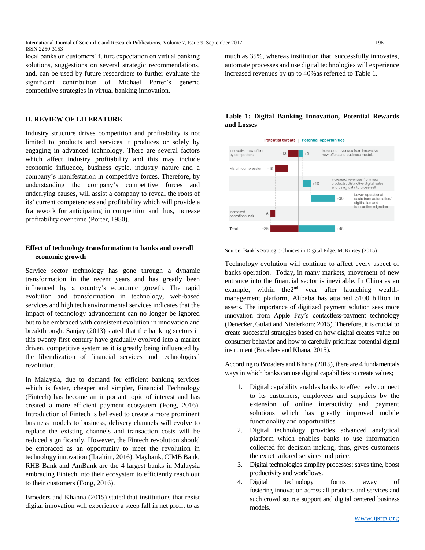local banks on customers' future expectation on virtual banking solutions, suggestions on several strategic recommendations, and, can be used by future researchers to further evaluate the significant contribution of Michael Porter's generic competitive strategies in virtual banking innovation.

# **II. REVIEW OF LITERATURE**

Industry structure drives competition and profitability is not limited to products and services it produces or solely by engaging in advanced technology. There are several factors which affect industry profitability and this may include economic influence, business cycle, industry nature and a company's manifestation in competitive forces. Therefore, by understanding the company's competitive forces and underlying causes, will assist a company to reveal the roots of its' current competencies and profitability which will provide a framework for anticipating in competition and thus, increase profitability over time (Porter, 1980).

# **Effect of technology transformation to banks and overall economic growth**

Service sector technology has gone through a dynamic transformation in the recent years and has greatly been influenced by a country's economic growth. The rapid evolution and transformation in technology, web-based services and high tech environmental services indicates that the impact of technology advancement can no longer be ignored but to be embraced with consistent evolution in innovation and breakthrough. Sanjay (2013) stated that the banking sectors in this twenty first century have gradually evolved into a market driven, competitive system as it is greatly being influenced by the liberalization of financial services and technological revolution.

In Malaysia, due to demand for efficient banking services which is faster, cheaper and simpler, Financial Technology (Fintech) has become an important topic of interest and has created a more efficient payment ecosystem (Fong, 2016). Introduction of Fintech is believed to create a more prominent business models to business, delivery channels will evolve to replace the existing channels and transaction costs will be reduced significantly. However, the Fintech revolution should be embraced as an opportunity to meet the revolution in technology innovation (Ibrahim, 2016). Maybank, CIMB Bank, RHB Bank and AmBank are the 4 largest banks in Malaysia embracing Fintech into their ecosystem to efficiently reach out to their customers (Fong, 2016).

Broeders and Khanna (2015) stated that institutions that resist digital innovation will experience a steep fall in net profit to as

much as 35%, whereas institution that successfully innovates, automate processes and use digital technologies will experience increased revenues by up to 40%as referred to Table 1.

# **Table 1: Digital Banking Innovation, Potential Rewards and Losses**



Source: Bank's Strategic Choices in Digital Edge. McKinsey (2015)

Technology evolution will continue to affect every aspect of banks operation. Today, in many markets, movement of new entrance into the financial sector is inevitable. In China as an example, within the 2<sup>nd</sup> year after launching wealthmanagement platform, Alibaba has attained \$100 billion in assets. The importance of digitized payment solution sees more innovation from Apple Pay's contactless-payment technology (Denecker, Gulati and Niederkom; 2015). Therefore, it is crucial to create successful strategies based on how digital creates value on consumer behavior and how to carefully prioritize potential digital instrument (Broaders and Khana; 2015).

According to Broaders and Khana (2015), there are 4 fundamentals ways in which banks can use digital capabilities to create values;

- 1. Digital capability enables banks to effectively connect to its customers, employees and suppliers by the extension of online interactivity and payment solutions which has greatly improved mobile functionality and opportunities.
- 2. Digital technology provides advanced analytical platform which enables banks to use information collected for decision making, thus, gives customers the exact tailored services and price.
- 3. Digital technologies simplify processes; saves time, boost productivity and workflows.
- 4. Digital technology forms away of fostering innovation across all products and services and such crowd source support and digital centered business models.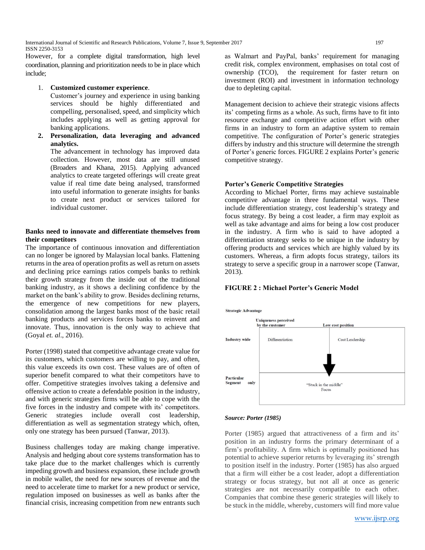International Journal of Scientific and Research Publications, Volume 7, Issue 9, September 2017 197 ISSN 2250-3153

However, for a complete digital transformation, high level coordination, planning and prioritization needs to be in place which include;

#### 1. **Customized customer experience**.

Customer's journey and experience in using banking services should be highly differentiated and compelling, personalised, speed, and simplicity which includes applying as well as getting approval for banking applications.

**2. Personalization, data leveraging and advanced analytics.** 

The advancement in technology has improved data collection. However, most data are still unused (Broaders and Khana, 2015). Applying advanced analytics to create targeted offerings will create great value if real time date being analysed, transformed into useful information to generate insights for banks to create next product or services tailored for individual customer.

## **Banks need to innovate and differentiate themselves from their competitors**

The importance of continuous innovation and differentiation can no longer be ignored by Malaysian local banks. Flattening returns in the area of operation profits as well as return on assets and declining price earnings ratios compels banks to rethink their growth strategy from the inside out of the traditional banking industry, as it shows a declining confidence by the market on the bank's ability to grow. Besides declining returns, the emergence of new competitions for new players, consolidation among the largest banks most of the basic retail banking products and services forces banks to reinvent and innovate. Thus, innovation is the only way to achieve that (Goyal *et. al*., 2016).

Porter (1998) stated that competitive advantage create value for its customers, which customers are willing to pay, and often, this value exceeds its own cost. These values are of often of superior benefit compared to what their competitors have to offer. Competitive strategies involves taking a defensive and offensive action to create a defendable position in the industry, and with generic strategies firms will be able to cope with the five forces in the industry and compete with its' competitors. Generic strategies include overall cost leadership, differentiation as well as segmentation strategy which, often, only one strategy has been pursued (Tanwar, 2013).

Business challenges today are making change imperative. Analysis and hedging about core systems transformation has to take place due to the market challenges which is currently impeding growth and business expansion, these include growth in mobile wallet, the need for new sources of revenue and the need to accelerate time to market for a new product or service, regulation imposed on businesses as well as banks after the financial crisis, increasing competition from new entrants such as Walmart and PayPal, banks' requirement for managing credit risk, complex environment, emphasises on total cost of ownership (TCO), the requirement for faster return on investment (ROI) and investment in information technology due to depleting capital.

Management decision to achieve their strategic visions affects its' competing firms as a whole. As such, firms have to fit into resource exchange and competitive action effort with other firms in an industry to form an adaptive system to remain competitive. The configuration of Porter's generic strategies differs by industry and this structure will determine the strength of Porter's generic forces. FIGURE 2 explains Porter's generic competitive strategy.

#### **Porter's Generic Competitive Strategies**

According to Michael Porter, firms may achieve sustainable competitive advantage in three fundamental ways. These include differentiation strategy, cost leadership's strategy and focus strategy. By being a cost leader, a firm may exploit as well as take advantage and aims for being a low cost producer in the industry. A firm who is said to have adopted a differentiation strategy seeks to be unique in the industry by offering products and services which are highly valued by its customers. Whereas, a firm adopts focus strategy, tailors its strategy to serve a specific group in a narrower scope (Tanwar, 2013).

## **FIGURE 2 : Michael Porter's Generic Model**



#### *Source: Porter (1985)*

Porter (1985) argued that attractiveness of a firm and its' position in an industry forms the primary determinant of a firm's profitability. A firm which is optimally positioned has potential to achieve superior returns by leveraging its' strength to position itself in the industry. Porter (1985) has also argued that a firm will either be a cost leader, adopt a differentiation strategy or focus strategy, but not all at once as generic strategies are not necessarily compatible to each other. Companies that combine these generic strategies will likely to be stuck in the middle, whereby, customers will find more value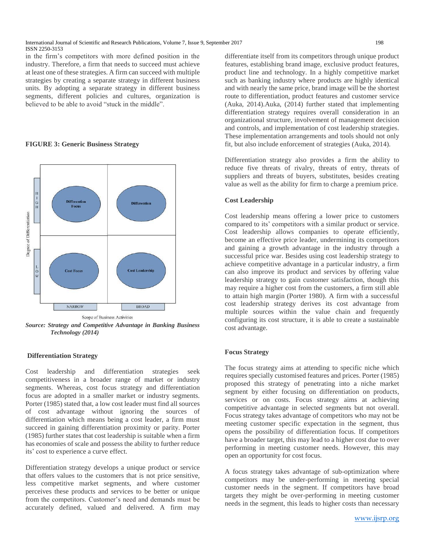in the firm's competitors with more defined position in the industry. Therefore, a firm that needs to succeed must achieve at least one of these strategies. A firm can succeed with multiple strategies by creating a separate strategy in different business units. By adopting a separate strategy in different business segments, different policies and cultures, organization is believed to be able to avoid "stuck in the middle".

## **FIGURE 3: Generic Business Strategy**



*Source: Strategy and Competitive Advantage in Banking Business Technology (2014)*

## **Differentiation Strategy**

Cost leadership and differentiation strategies seek competitiveness in a broader range of market or industry segments. Whereas, cost focus strategy and differentiation focus are adopted in a smaller market or industry segments. Porter (1985) stated that, a low cost leader must find all sources of cost advantage without ignoring the sources of differentiation which means being a cost leader, a firm must succeed in gaining differentiation proximity or parity. Porter (1985) further states that cost leadership is suitable when a firm has economies of scale and possess the ability to further reduce its' cost to experience a curve effect.

Differentiation strategy develops a unique product or service that offers values to the customers that is not price sensitive, less competitive market segments, and where customer perceives these products and services to be better or unique from the competitors. Customer's need and demands must be accurately defined, valued and delivered. A firm may

differentiate itself from its competitors through unique product features, establishing brand image, exclusive product features, product line and technology. In a highly competitive market such as banking industry where products are highly identical and with nearly the same price, brand image will be the shortest route to differentiation, product features and customer service (Auka, 2014).Auka, (2014) further stated that implementing differentiation strategy requires overall consideration in an organizational structure, involvement of management decision and controls, and implementation of cost leadership strategies. These implementation arrangements and tools should not only fit, but also include enforcement of strategies (Auka, 2014).

Differentiation strategy also provides a firm the ability to reduce five threats of rivalry, threats of entry, threats of suppliers and threats of buyers, substitutes, besides creating value as well as the ability for firm to charge a premium price.

#### **Cost Leadership**

Cost leadership means offering a lower price to customers compared to its' competitors with a similar product or service. Cost leadership allows companies to operate efficiently, become an effective price leader, undermining its competitors and gaining a growth advantage in the industry through a successful price war. Besides using cost leadership strategy to achieve competitive advantage in a particular industry, a firm can also improve its product and services by offering value leadership strategy to gain customer satisfaction, though this may require a higher cost from the customers, a firm still able to attain high margin (Porter 1980). A firm with a successful cost leadership strategy derives its cost advantage from multiple sources within the value chain and frequently configuring its cost structure, it is able to create a sustainable cost advantage.

#### **Focus Strategy**

The focus strategy aims at attending to specific niche which requires specially customised features and prices. Porter (1985) proposed this strategy of penetrating into a niche market segment by either focusing on differentiation on products, services or on costs. Focus strategy aims at achieving competitive advantage in selected segments but not overall. Focus strategy takes advantage of competitors who may not be meeting customer specific expectation in the segment, thus opens the possibility of differentiation focus. If competitors have a broader target, this may lead to a higher cost due to over performing in meeting customer needs. However, this may open an opportunity for cost focus.

A focus strategy takes advantage of sub-optimization where competitors may be under-performing in meeting special customer needs in the segment. If competitors have broad targets they might be over-performing in meeting customer needs in the segment, this leads to higher costs than necessary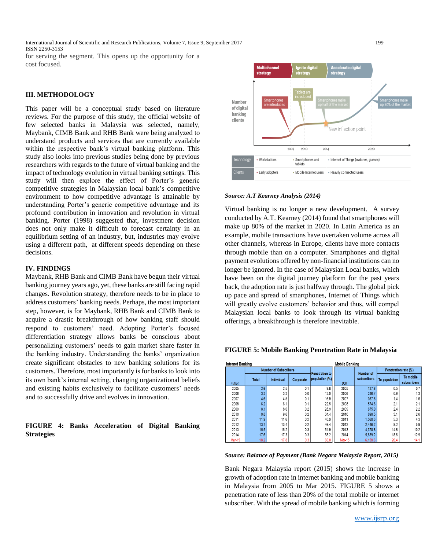International Journal of Scientific and Research Publications, Volume 7, Issue 9, September 2017 199 ISSN 2250-3153 for serving the segment. This opens up the opportunity for a cost focused.

#### **III. METHODOLOGY**

This paper will be a conceptual study based on literature reviews. For the purpose of this study, the official website of few selected banks in Malaysia was selected, namely, Maybank, CIMB Bank and RHB Bank were being analyzed to understand products and services that are currently available within the respective bank's virtual banking platform. This study also looks into previous studies being done by previous researchers with regards to the future of virtual banking and the impact of technology evolution in virtual banking settings. This study will then explore the effect of Porter's generic competitive strategies in Malaysian local bank's competitive environment to how competitive advantage is attainable by understanding Porter's generic competitive advantage and its profound contribution in innovation and revolution in virtual banking. Porter (1998) suggested that, investment decision does not only make it difficult to forecast certainty in an equilibrium setting of an industry, but, industries may evolve using a different path, at different speeds depending on these decisions.

#### **IV. FINDINGS**

Maybank, RHB Bank and CIMB Bank have begun their virtual banking journey years ago, yet, these banks are still facing rapid changes. Revolution strategy, therefore needs to be in place to address customers' banking needs. Perhaps, the most important step, however, is for Maybank, RHB Bank and CIMB Bank to acquire a drastic breakthrough of how banking staff should respond to customers' need. Adopting Porter's focused differentiation strategy allows banks be conscious about personalizing customers' needs to gain market share faster in the banking industry. Understanding the banks' organization create significant obstacles to new banking solutions for its customers. Therefore, most importantly is for banks to look into its own bank's internal setting, changing organizational beliefs and existing habits exclusively to facilitate customers' needs and to successfully drive and evolves in innovation.

## **FIGURE 4: Banks Acceleration of Digital Banking Strategies**



#### *Source: A.T Kearney Analysis (2014)*

Virtual banking is no longer a new development. A survey conducted by A.T. Kearney (2014) found that smartphones will make up 80% of the market in 2020. In Latin America as an example, mobile transactions have overtaken volume across all other channels, whereas in Europe, clients have more contacts through mobile than on a computer. Smartphones and digital payment evolutions offered by non-financial institutions can no longer be ignored. In the case of Malaysian Local banks, which have been on the digital journey platform for the past years back, the adoption rate is just halfway through. The global pick up pace and spread of smartphones, Internet of Things which will greatly evolve customers' behavior and thus, will compel Malaysian local banks to look through its virtual banking offerings, a breakthrough is therefore inevitable.

| Internet Banking |         |                              |            |           |                       | <b>Mobile Banking</b> |             |                      |                          |
|------------------|---------|------------------------------|------------|-----------|-----------------------|-----------------------|-------------|----------------------|--------------------------|
|                  |         | <b>Number of Subscribers</b> |            |           | <b>Penetration to</b> |                       | Number of   | Penetration rate (%) |                          |
|                  | million | <b>Total</b>                 | Individual | Corporate | population (%)        | 000                   | subscribers | To population        | To mobile<br>subscribers |
|                  | 2005    | 2.6                          | 2.5        | 0.1       | 9.8                   | 2005                  | 127.6       | 0.5                  | 0.7                      |
|                  | 2006    | 3.2                          | 3.2        | 0.0       | 12.0                  | 2006                  | 246.7       | 0.9                  | 1.3                      |
|                  | 2007    | 4.6                          | 4.5        | 0.1       | 16.9                  | 2007                  | 367.6       | 1.4                  | 1.6                      |
|                  | 2008    | 6.2                          | 6.1        | 0.1       | 22.5                  | 2008                  | 574.6       | 2.1                  | 2.1                      |
|                  | 2009    | 8.1                          | 8.0        | 0.2       | 28.9                  | 2009                  | 675.0       | 2.4                  | 2:                       |
|                  | 2010    | 9.8                          | 9.6        | 0.2       | 34.4                  | 2010                  | 898.5       | 3.1                  | 2.6                      |
|                  | 2011    | 11.9                         | 11.6       | 0.2       | 40.9                  | 2011                  | 1,560.3     | 5.3                  | 4:                       |
|                  | 2012    | 13.7                         | 13.4       | 0.2       | 46.4                  | 2012                  | 2.446.2     | 8.2                  | 5.9                      |
|                  | 2013    | 15.5                         | 15.2       | 0.3       | 51.9                  | 2013                  | 4.378.8     | 14.6                 | 10.2                     |
|                  | 2014    | 17.6                         | 17.3       | 0.3       | 58.2                  | 2014                  | 5,639.2     | 18.6                 | 12.9                     |
|                  | Mar-15  | 18.2                         | 17.8       | 0.3       | 60.0                  | <b>Mar-15</b>         | 6,158.6     | 20.4                 | 14.1                     |

#### **FIGURE 5: Mobile Banking Penetration Rate in Malaysia**

#### *Source: Balance of Payment (Bank Negara Malaysia Report, 2015)*

Bank Negara Malaysia report (2015) shows the increase in growth of adoption rate in internet banking and mobile banking in Malaysia from 2005 to Mar 2015. FIGURE 5 shows a penetration rate of less than 20% of the total mobile or internet subscriber. With the spread of mobile banking which is forming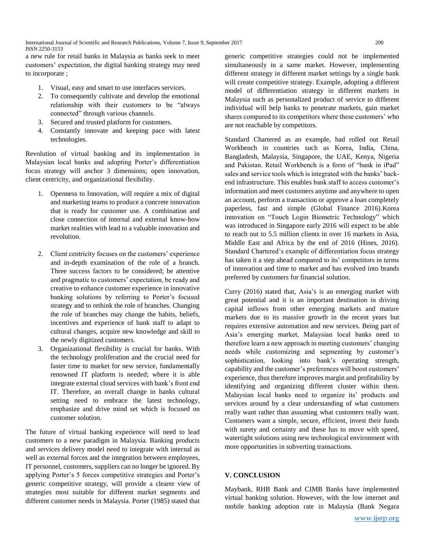a new rule for retail banks in Malaysia as banks seek to meet customers' expectation, the digital banking strategy may need to incorporate ;

- 1. Visual, easy and smart to use interfaces services.
- 2. To consequently cultivate and develop the emotional relationship with their customers to be "always connected" through various channels.
- 3. Secured and trusted platform for customers.
- 4. Constantly innovate and keeping pace with latest technologies.

Revolution of virtual banking and its implementation in Malaysian local banks and adopting Porter's differentiation focus strategy will anchor 3 dimensions; open innovation, client centricity, and organizational flexibility.

- 1. Openness to Innovation, will require a mix of digital and marketing teams to produce a concrete innovation that is ready for customer use. A combination and close connection of internal and external know-how market realities with lead to a valuable innovation and revolution.
- 2. Client centricity focuses on the customers' experience and in-depth examination of the role of a branch. Three success factors to be considered; be attentive and pragmatic to customers' expectation, be ready and creative to enhance customer experience in innovative banking solutions by referring to Porter's focused strategy and to rethink the role of branches. Changing the role of branches may change the habits, beliefs, incentives and experience of bank staff to adapt to cultural changes, acquire new knowledge and skill to the newly digitized customers.
- 3. Organizational flexibility is crucial for banks. With the technology proliferation and the crucial need for faster time to market for new service, fundamentally renowned IT platform is needed; where it is able integrate external cloud services with bank's front end IT. Therefore, an overall change in banks cultural setting need to embrace the latest technology, emphasize and drive mind set which is focused on customer solution.

The future of virtual banking experience will need to lead customers to a new paradigm in Malaysia. Banking products and services delivery model need to integrate with internal as well as external forces and the integration between employees, IT personnel, customers, suppliers can no longer be ignored. By applying Porter's 5 forces competitive strategies and Porter's generic competitive strategy, will provide a clearer view of strategies most suitable for different market segments and different customer needs in Malaysia. Porter (1985) stated that generic competitive strategies could not be implemented simultaneously in a same market. However, implementing different strategy in different market settings by a single bank will create competitive strategy. Example, adopting a different model of differentiation strategy in different markets in Malaysia such as personalized product of service to different individual will help banks to penetrate markets, gain market shares compared to its competitors where these customers' who are not reachable by competitors.

Standard Chartered as an example, had rolled out Retail Workbench in countries such as Korea, India, China, Bangladesh, Malaysia, Singapore, the UAE, Kenya, Nigeria and Pakistan. Retail Workbench is a form of "bank in iPad" sales and service tools which is integrated with the banks' backend infrastructure. This enables bank staff to access customer's information and meet customers anytime and anywhere to open an account, perform a transaction or approve a loan completely paperless, fast and simple (Global Finance 2016).Korea innovation on "Touch Login Biometric Technology" which was introduced in Singapore early 2016 will expect to be able to reach out to 5.5 million clients in over 16 markets in Asia, Middle East and Africa by the end of 2016 (Hines, 2016). Standard Chartered's example of differentiation focus strategy has taken it a step ahead compared to its' competitors in terms of innovation and time to market and has evolved into brands preferred by customers for financial solution.

Curry (2016) stated that, Asia's is an emerging market with great potential and it is an important destination in driving capital inflows from other emerging markets and mature markets due to its massive growth in the recent years but requires extensive automation and new services. Being part of Asia's emerging market, Malaysian local banks need to therefore learn a new approach in meeting customers' changing needs while customizing and segmenting by customer's sophistication, looking into bank's operating strength, capability and the customer's preferences will boost customers' experience, thus therefore improves margin and profitability by identifying and organizing different cluster within them. Malaysian local banks need to organize its' products and services around by a clear understanding of what customers really want rather than assuming what customers really want. Customers want a simple, secure, efficient, invest their funds with surety and certainty and these has to move with speed, watertight solutions using new technological environment with more opportunities in subverting transactions.

# **V. CONCLUSION**

Maybank, RHB Bank and CIMB Banks have implemented virtual banking solution. However, with the low internet and mobile banking adoption rate in Malaysia (Bank Negara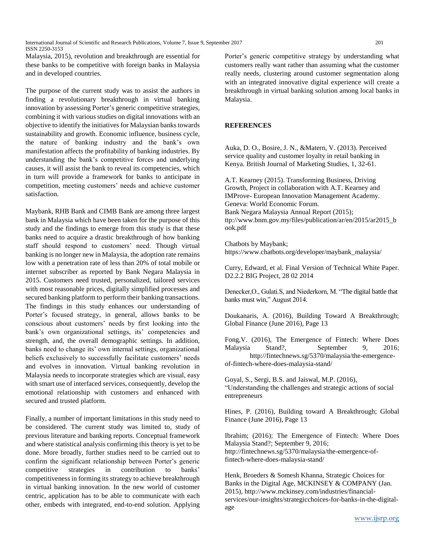International Journal of Scientific and Research Publications, Volume 7, Issue 9, September 2017 201 ISSN 2250-3153

Malaysia, 2015), revolution and breakthrough are essential for these banks to be competitive with foreign banks in Malaysia and in developed countries.

The purpose of the current study was to assist the authors in finding a revolutionary breakthrough in virtual banking innovation by assessing Porter's generic competitive strategies, combining it with various studies on digital innovations with an objective to identify the initiatives for Malaysian banks towards sustainability and growth. Economic influence, business cycle, the nature of banking industry and the bank's own manifestation affects the profitability of banking industries. By understanding the bank's competitive forces and underlying causes, it will assist the bank to reveal its competencies, which in turn will provide a framework for banks to anticipate in competition, meeting customers' needs and achieve customer satisfaction.

Maybank, RHB Bank and CIMB Bank are among three largest bank in Malaysia which have been taken for the purpose of this study and the findings to emerge from this study is that these banks need to acquire a drastic breakthrough of how banking staff should respond to customers' need. Though virtual banking is no longer new in Malaysia, the adoption rate remains low with a penetration rate of less than 20% of total mobile or internet subscriber as reported by Bank Negara Malaysia in 2015. Customers need trusted, personalized, tailored services with most reasonable prices, digitally simplified processes and secured banking platform to perform their banking transactions. The findings in this study enhances our understanding of Porter's focused strategy, in general, allows banks to be conscious about customers' needs by first looking into the bank's own organizational settings, its' competencies and strength, and, the overall demographic settings. In addition, banks need to change its' own internal settings, organizational beliefs exclusively to successfully facilitate customers' needs and evolves in innovation. Virtual banking revolution in Malaysia needs to incorporate strategies which are visual, easy with smart use of interfaced services, consequently, develop the emotional relationship with customers and enhanced with secured and trusted platform.

Finally, a number of important limitations in this study need to be considered. The current study was limited to, study of previous literature and banking reports. Conceptual framework and where statistical analysis confirming this theory is yet to be done. More broadly, further studies need to be carried out to confirm the significant relationship between Porter's generic competitive strategies in contribution to banks' competitiveness in forming its strategy to achieve breakthrough in virtual banking innovation. In the new world of customer centric, application has to be able to communicate with each other, embeds with integrated, end-to-end solution. Applying Porter's generic competitive strategy by understanding what customers really want rather than assuming what the customer really needs, clustering around customer segmentation along with an integrated innovative digital experience will create a breakthrough in virtual banking solution among local banks in Malaysia.

#### **REFERENCES**

Auka, D. O., Bosire, J. N., &Matern, V. (2013). Perceived service quality and customer loyalty in retail banking in Kenya. British Journal of Marketing Studies, 1, 32-61.

A.T. Kearney (2015). Transforming Business, Driving Growth, Project in collaboration with A.T. Kearney and IMProve- European Innovation Management Academy. Geneva: World Economic Forum. Bank Negara Malaysia Annual Report (2015); ttp://www.bnm.gov.my/files/publication/ar/en/2015/ar2015\_b ook.pdf

Chatbots by Maybank; https://www.chatbots.org/developer/maybank\_malaysia/

Curry, Edward, et al. Final Version of Technical White Paper. D2.2.2 BIG Project, 28 02 2014

[Denecker,O., Gulati.S, and Niederkorn, M. "The digital battle that](http://www.mckinsey.com/industries/financial-services/our-insights/strategic-choices-for-banks-in-the-digital-age)  [banks must win,"](http://www.mckinsey.com/industries/financial-services/our-insights/the-digital-battle-that-banks-must-win) August 2014.

Doukanaris, A. (2016), Building Toward A Breakthrough; Global Finance (June 2016), Page 13

Fong,V. (2016), The Emergence of Fintech: Where Does Malaysia Stand?, September 9, 2016; http://fintechnews.sg/5370/malaysia/the-emergenceof-fintech-where-does-malaysia-stand/

Goyal, S., Sergi, B.S. and Jaiswal, M.P. (2016), "Understanding the challenges and strategic actions of social entrepreneurs

Hines, P. (2016), Building toward A Breakthrough; Global Finance (June 2016), Page 13

Ibrahim; (2016); The Emergence of Fintech: Where Does Malaysia Stand?; September 9, 2016; http://fintechnews.sg/5370/malaysia/the-emergence-offintech-where-does-malaysia-stand/

Henk, Broeders & Somesh Khanna, Strategic Choices for Banks in the Digital Age, MCKINSEY & COMPANY (Jan. 2015), http://www.mckinsey.com/industries/financialservices/our-insights/strategicchoices-for-banks-in-the-digitalage